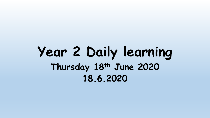# **Year 2 Daily learning Thursday 18th June 2020 18.6.2020**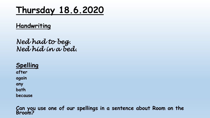# **Thursday 18.6.2020**

#### **Handwriting**

*Ned had to beg. Ned hid in a bed.*

**Spelling after again any**

**bath**

**because**

**Can you use one of our spellings in a sentence about Room on the Broom?**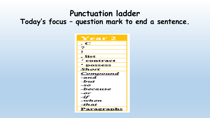#### **Punctuation ladder**

#### **Today's focus – question mark to end a sentence.**

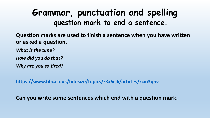### **Grammar, punctuation and spelling question mark to end a sentence.**

**Question marks are used to finish a sentence when you have written or asked a question.**

*What is the time?*

*How did you do that?*

*Why are you so tired?*

**<https://www.bbc.co.uk/bitesize/topics/z8x6cj6/articles/zcm3qhv>**

**Can you write some sentences which end with a question mark.**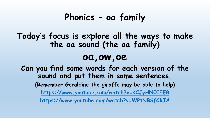### **Phonics – oa family**

#### **Today's focus is explore all the ways to make the oa sound (the oa family)**

### **oa,ow,oe**

**Can you find some words for each version of the sound and put them in some sentences. (Remember Geraldine the giraffe may be able to help) <https://www.youtube.com/watch?v=KCJyHN0IFE8> <https://www.youtube.com/watch?v=WPtNBSfCkJA>**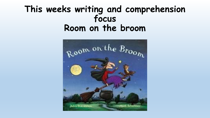### **This weeks writing and comprehension focus Room on the broom**

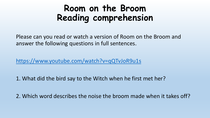# **Room on the Broom Reading comprehension**

Please can you read or watch a version of Room on the Broom and answer the following questions in full sentences.

<https://www.youtube.com/watch?v=qQTvJoR9u1s>

1. What did the bird say to the Witch when he first met her?

2. Which word describes the noise the broom made when it takes off?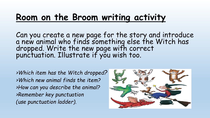# **Room on the Broom writing activity**

Can you create a new page for the story and introduce a new animal who finds something else the Witch has dropped. Write the new page with correct punctuation. Illustrate if you wish too.

*>Which item has the Witch dropped? >Which new animal finds the item? >How can you describe the animal? >Remember key punctuation (use punctuation ladder).*

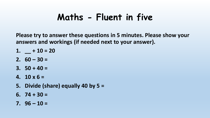# **Maths - Fluent in five**

**Please try to answer these questions in 5 minutes. Please show your answers and workings (if needed next to your answer).**

- 1.  $-$  **+ 10 = 20**
- **2. 60 – 30 =**
- **3. 50 + 40 =**
- **4. 10 x 6 =**
- **5. Divide (share) equally 40 by 5 =**
- **6. 74 + 30 =**
- **7. 96 – 10 =**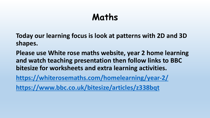# **Maths**

**Today our learning focus is look at patterns with 2D and 3D shapes.**

**Please use White rose maths website, year 2 home learning and watch teaching presentation then follow links to BBC bitesize for worksheets and extra learning activities.**

**<https://whiterosemaths.com/homelearning/year-2/>**

**<https://www.bbc.co.uk/bitesize/articles/z338bqt>**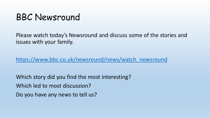## BBC Newsround

Please watch today's Newsround and discuss some of the stories and issues with your family.

[https://www.bbc.co.uk/newsround/news/watch\\_newsround](https://www.bbc.co.uk/newsround/news/watch_newsround)

Which story did you find the most interesting? Which led to most discussion? Do you have any news to tell us?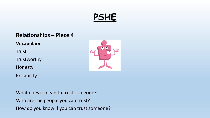# **PSHE**

#### **Relationships – Piece 4**

**Vocabulary** 

Trust

Trustworthy

Honesty

Reliability



What does it mean to trust someone? Who are the people you can trust? How do you know if you can trust someone?